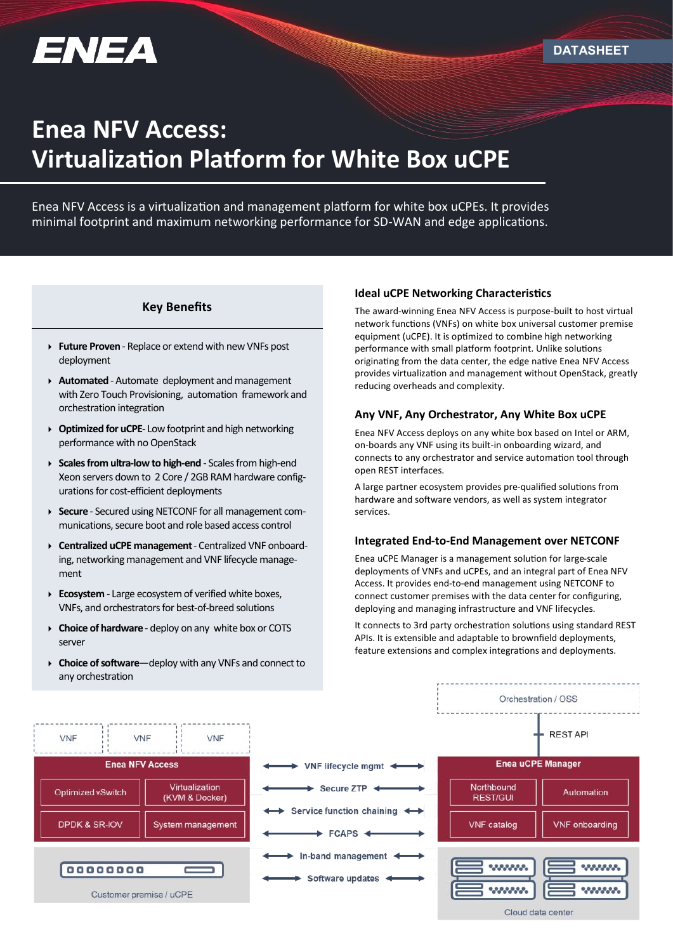

# **Enea NFV Access: Virtualization Platform for White Box uCPE**

Enea NFV Access is a virtualization and management platform for white box uCPEs. It provides minimal footprint and maximum networking performance for SD-WAN and edge applications.

# **Key Benefits**

- **Future Proven**  Replace or extend with new VNFs post deployment
- **Automated** Automate deployment and management with Zero Touch Provisioning, automation framework and orchestration integration
- **Optimized for uCPE** Low footprint and high networking performance with no OpenStack
- **Scales from ultra-low to high-end**  Scales from high-end Xeon servers down to 2 Core / 2GB RAM hardware configurations for cost-efficient deployments
- **Secure** Secured using NETCONF for all management communications, secure boot and role based access control
- **Centralized uCPE management**  Centralized VNF onboarding, networking management and VNF lifecycle management
- **Ecosystem** Large ecosystem of verified white boxes, VNFs, and orchestrators for best-of-breed solutions
- **Choice of hardware** deploy on any white box or COTS server
- **Choice of software**—deploy with any VNFs and connect to any orchestration

## **Ideal uCPE Networking Characteristics**

The award-winning Enea NFV Access is purpose-built to host virtual network functions (VNFs) on white box universal customer premise equipment (uCPE). It is optimized to combine high networking performance with small platform footprint. Unlike solutions originating from the data center, the edge native Enea NFV Access provides virtualization and management without OpenStack, greatly reducing overheads and complexity.

# **Any VNF, Any Orchestrator, Any White Box uCPE**

Enea NFV Access deploys on any white box based on Intel or ARM, on-boards any VNF using its built-in onboarding wizard, and connects to any orchestrator and service automation tool through open REST interfaces.

A large partner ecosystem provides pre-qualified solutions from hardware and software vendors, as well as system integrator services.

#### **Integrated End-to-End Management over NETCONF**

Enea uCPE Manager is a management solution for large-scale deployments of VNFs and uCPEs, and an integral part of Enea NFV Access. It provides end-to-end management using NETCONF to connect customer premises with the data center for configuring, deploying and managing infrastructure and VNF lifecycles.

It connects to 3rd party orchestration solutions using standard REST APIs. It is extensible and adaptable to brownfield deployments, feature extensions and complex integrations and deployments.